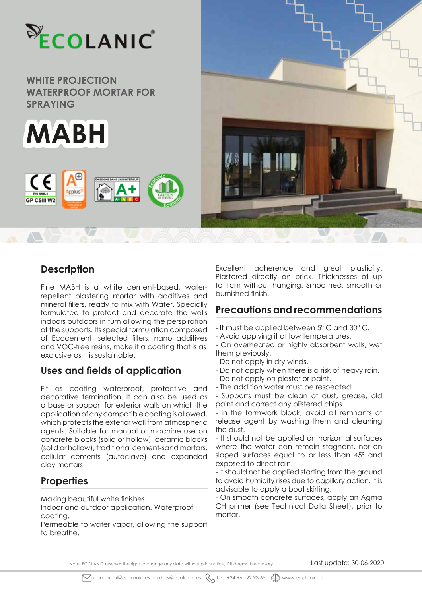



**kplus** 

C E

**EN 998-1 GP CSIII W2** 



## **Description**

Fine MABH is a white cement-based, waterrepellent plastering mortar with additives and mineral fillers, ready to mix with Water. Specially formulated to protect and decorate the walls indoors outdoors in turn allowing the perspiration of the supports. Its special formulation composed of Ecocement, selected fillers, nano additives and VOC-free resins, make it a coating that is as exclusive as it is sustainable.

# **Uses and fields of application**

Fit as coating waterproof, protective and decorative termination. It can also be used as a base or support for exterior walls on which the application of any compatible coating is allowed, which protects the exterior wall from atmospheric agents. Suitable for manual or machine use on concrete blocks (solid or hollow), ceramic blocks (solid or hollow), traditional cement-sand mortars, cellular cements (autoclave) and expanded clay mortars.

# **Properties**

Making beautiful white finishes.

Indoor and outdoor application. Waterproof coating.

Permeable to water vapor, allowing the support to breathe.

Excellent adherence and great plasticity. Plastered directly on brick. Thicknesses of up to 1cm without hanging. Smoothed, smooth or burnished finish.

# **Precautions and recommendations**

- It must be applied between 5º C and 30º C.

- Avoid applying it at low temperatures.
- On overheated or highly absorbent walls, wet them previously.
- Do not apply in dry winds.
- Do not apply when there is a risk of heavy rain.
- Do not apply on plaster or paint.
- The addition water must be respected.

- Supports must be clean of dust, grease, old paint and correct any blistered chips.

- In the formwork block, avoid all remnants of release agent by washing them and cleaning the dust.

- It should not be applied on horizontal surfaces where the water can remain stagnant, nor on sloped surfaces equal to or less than 45º and exposed to direct rain.

- It should not be applied starting from the ground to avoid humidity rises due to capillary action. It is advisable to apply a boot skirting.

- On smooth concrete surfaces, apply an Agma CH primer (see Technical Data Sheet), prior to mortar.

Note: ECOLANIC reserves the right to change any data without prior notice, if it deems it necessary. Last update: 30-06-2020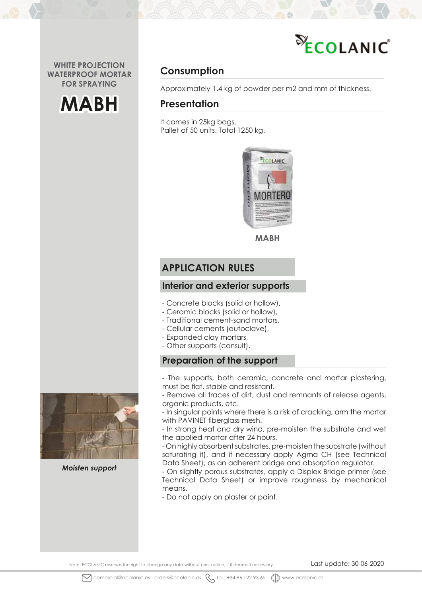



# **Consumption**

Approximately 1.4 kg of powder per m2 and mm of thickness.

### **Presentation**

It comes in 25kg bags. Pallet of 50 units. Total 1250 kg.



**MABH**

### **APPLICATION RULES**

### **Interior and exterior supports**

- Concrete blocks (solid or hollow),
- Ceramic blocks (solid or hollow),
- Traditional cement-sand mortars,
- Cellular cements (autoclave),
- Expanded clay mortars,
- Other supports (consult).

### **Preparation of the support**

- The supports, both ceramic, concrete and mortar plastering, must be flat, stable and resistant.

- Remove all traces of dirt, dust and remnants of release agents, organic products, etc.

- In singular points where there is a risk of cracking, arm the mortar with PAVINET fiberglass mesh.

- In strong heat and dry wind, pre-moisten the substrate and wet the applied mortar after 24 hours.

- On highly absorbent substrates, pre-moisten the substrate (without saturating it), and if necessary apply Agma CH (see Technical Data Sheet), as an adherent bridge and absorption regulator.

- On slightly porous substrates, apply a Displex Bridge primer (see Technical Data Sheet) or improve roughness by mechanical means.

- Do not apply on plaster or paint.



*Moisten support*

Note: ECOLANIC reserves the right to change any data without prior notice, if it deems it necessary. Last update: 30-06-2020

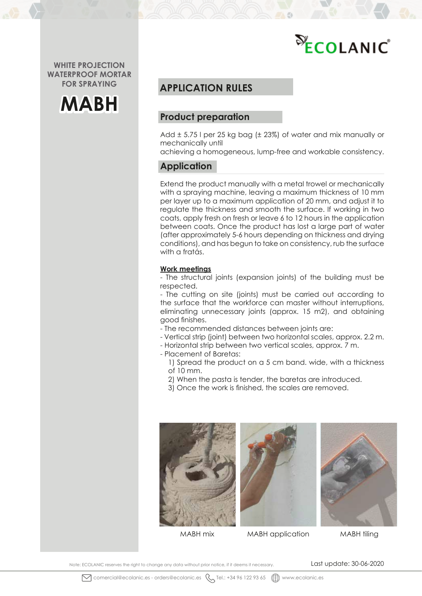



### **APPLICATION RULES**

### **Product preparation**

Add ± 5.75 l per 25 kg bag (± 23%) of water and mix manually or mechanically until

achieving a homogeneous, lump-free and workable consistency.

### **Application**

Extend the product manually with a metal trowel or mechanically with a spraying machine, leaving a maximum thickness of 10 mm per layer up to a maximum application of 20 mm, and adjust it to regulate the thickness and smooth the surface. If working in two coats, apply fresh on fresh or leave 6 to 12 hours in the application between coats. Once the product has lost a large part of water (after approximately 5-6 hours depending on thickness and drying conditions), and has begun to take on consistency, rub the surface with a fratás.

#### **Work meetings**

- The structural joints (expansion joints) of the building must be respected.

- The cutting on site (joints) must be carried out according to the surface that the workforce can master without interruptions, eliminating unnecessary joints (approx. 15 m2), and obtaining good finishes.

- The recommended distances between joints are:
- Vertical strip (joint) between two horizontal scales, approx. 2.2 m.
- Horizontal strip between two vertical scales, approx. 7 m.
- Placement of Baretas:
	- 1) Spread the product on a 5 cm band. wide, with a thickness of 10 mm.
	- 2) When the pasta is tender, the baretas are introduced.
	- 3) Once the work is finished, the scales are removed.







MABH mix MABH application MABH tiling

Note: ECOLANIC reserves the right to change any data without prior notice, if it deems it necessary. Last update: 30-06-2020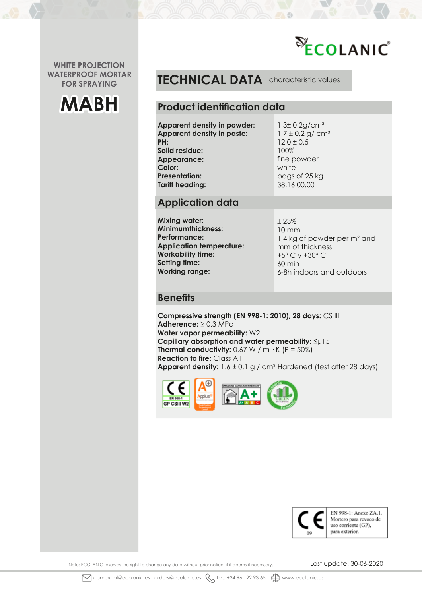



**TECHNICAL DATA** characteristic values

### **Product identification data**

**Apparent density in powder: Apparent density in paste: PH: Solid residue: Appearance: Color: Presentation: Tariff heading:**

 $1,3\pm 0.2$ g/cm<sup>3</sup>  $1,7 \pm 0.2$  g/ cm<sup>3</sup>  $12,0 \pm 0.5$ 100% fine powder white bags of 25 kg 38.16.00.00

## **Application data**

**Mixing water: Minimumthickness: Performance: Application temperature: Workability time: Setting time: Working range:**

± 23% 10 mm 1,4 kg of powder per m² and mm of thickness +5º C y +30º C 60 min 6-8h indoors and outdoors

### **Benefits**

**Compressive strength (EN 998-1: 2010), 28 days:** CS III **Adherence:** ≥ 0.3 MPa **Water vapor permeability:** W2 **Capillary absorption and water permeability:** ≤μ15 **Thermal conductivity:**  $0.67 \text{ W / m} \cdot \text{K}$  (P = 50%) **Reaction to fire:** Class A1 **Apparent density:**  $1.6 \pm 0.1$  g / cm<sup>3</sup> Hardened (test after 28 days)





Note: ECOLANIC reserves the right to change any data without prior notice, if it deems it necessary. Last update: 30-06-2020